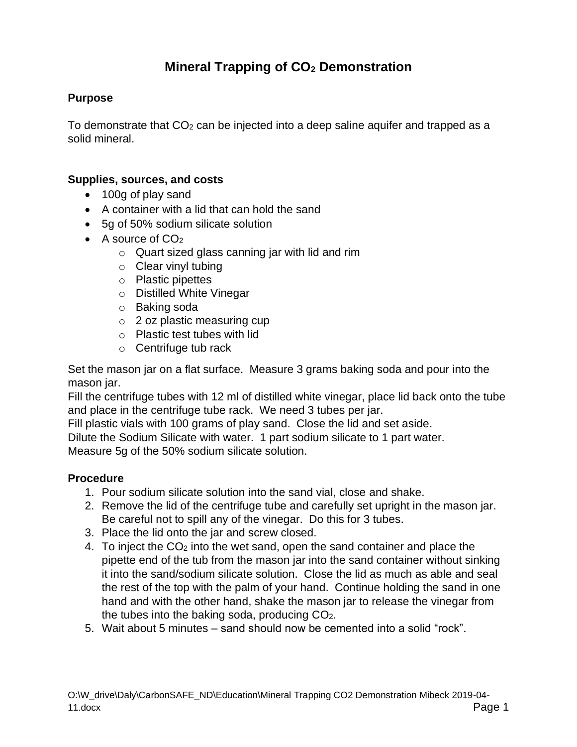# **Mineral Trapping of CO<sup>2</sup> Demonstration**

#### **Purpose**

To demonstrate that  $CO<sub>2</sub>$  can be injected into a deep saline aquifer and trapped as a solid mineral.

#### **Supplies, sources, and costs**

- 100g of play sand
- A container with a lid that can hold the sand
- 5g of 50% sodium silicate solution
- A source of  $CO<sub>2</sub>$ 
	- o Quart sized glass canning jar with lid and rim
	- o Clear vinyl tubing
	- o Plastic pipettes
	- o Distilled White Vinegar
	- o Baking soda
	- o 2 oz plastic measuring cup
	- o Plastic test tubes with lid
	- $\circ$  Centrifuge tub rack

Set the mason jar on a flat surface. Measure 3 grams baking soda and pour into the mason jar.

Fill the centrifuge tubes with 12 ml of distilled white vinegar, place lid back onto the tube and place in the centrifuge tube rack. We need 3 tubes per jar.

Fill plastic vials with 100 grams of play sand. Close the lid and set aside.

Dilute the Sodium Silicate with water. 1 part sodium silicate to 1 part water. Measure 5g of the 50% sodium silicate solution.

#### **Procedure**

- 1. Pour sodium silicate solution into the sand vial, close and shake.
- 2. Remove the lid of the centrifuge tube and carefully set upright in the mason jar. Be careful not to spill any of the vinegar. Do this for 3 tubes.
- 3. Place the lid onto the jar and screw closed.
- 4. To inject the  $CO<sub>2</sub>$  into the wet sand, open the sand container and place the pipette end of the tub from the mason jar into the sand container without sinking it into the sand/sodium silicate solution. Close the lid as much as able and seal the rest of the top with the palm of your hand. Continue holding the sand in one hand and with the other hand, shake the mason jar to release the vinegar from the tubes into the baking soda, producing  $CO<sub>2</sub>$ .
- 5. Wait about 5 minutes sand should now be cemented into a solid "rock".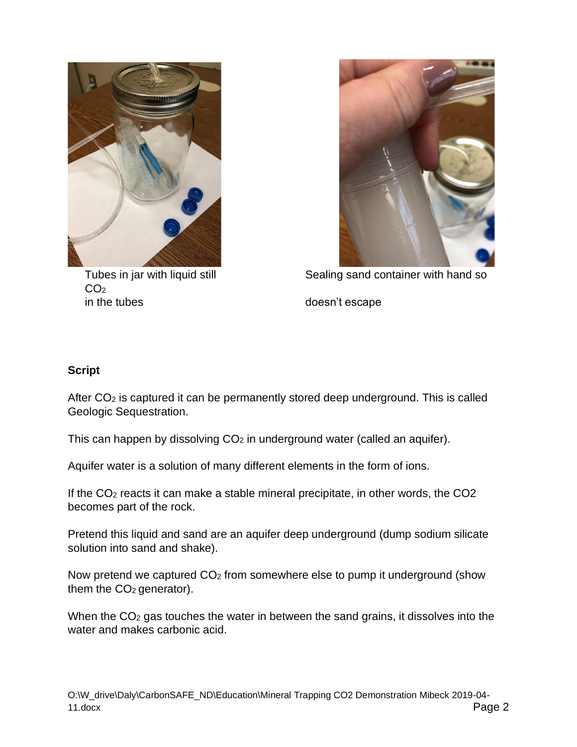

 $CO<sub>2</sub>$ in the tubes doesn't escape



Tubes in jar with liquid still Sealing sand container with hand so

# **Script**

After CO<sup>2</sup> is captured it can be permanently stored deep underground. This is called Geologic Sequestration.

This can happen by dissolving  $CO<sub>2</sub>$  in underground water (called an aquifer).

Aquifer water is a solution of many different elements in the form of ions.

If the CO<sup>2</sup> reacts it can make a stable mineral precipitate, in other words, the CO2 becomes part of the rock.

Pretend this liquid and sand are an aquifer deep underground (dump sodium silicate solution into sand and shake).

Now pretend we captured CO<sub>2</sub> from somewhere else to pump it underground (show them the  $CO<sub>2</sub>$  generator).

When the  $CO<sub>2</sub>$  gas touches the water in between the sand grains, it dissolves into the water and makes carbonic acid.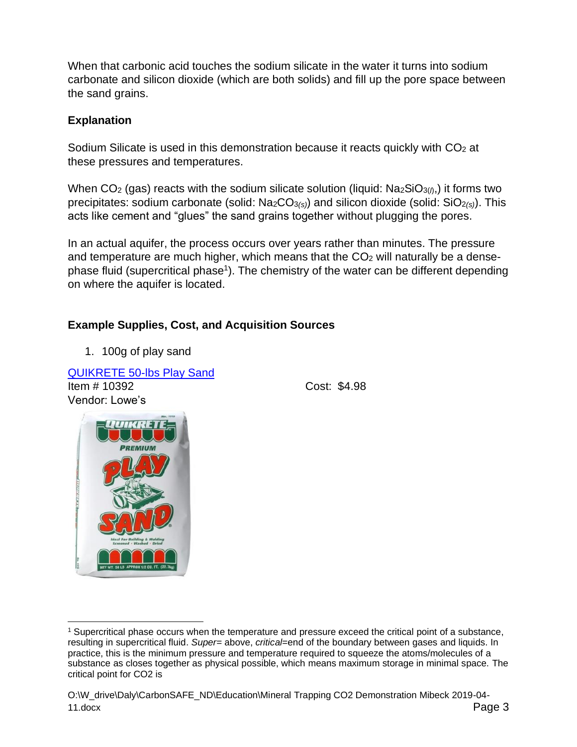When that carbonic acid touches the sodium silicate in the water it turns into sodium carbonate and silicon dioxide (which are both solids) and fill up the pore space between the sand grains.

#### **Explanation**

Sodium Silicate is used in this demonstration because it reacts quickly with CO<sub>2</sub> at these pressures and temperatures.

When CO<sub>2</sub> (gas) reacts with the sodium silicate solution (liquid: Na<sub>2</sub>SiO<sub>3(*l*)</sub>,) it forms two precipitates: sodium carbonate (solid: Na<sub>2</sub>CO<sub>3(s)</sub>) and silicon dioxide (solid: SiO<sub>2(s)</sub>). This acts like cement and "glues" the sand grains together without plugging the pores.

In an actual aquifer, the process occurs over years rather than minutes. The pressure and temperature are much higher, which means that the CO<sub>2</sub> will naturally be a densephase fluid (supercritical phase<sup>1</sup>). The chemistry of the water can be different depending on where the aquifer is located.

# **Example Supplies, Cost, and Acquisition Sources**

1. 100g of play sand

[QUIKRETE 50-lbs Play Sand](https://www.lowes.com/pd/QUIKRETE-50-lbs-Play-Sand/3006085?cm_mmc=shp-_-c-_-prd-_-lbm-_-google-_-lia-_-102-_-masonrybaggedgoodsrepair-_-3006085-_-0&kpid&store_code=1896&k_clickID=go_625667893_34613738110_111132545710_pla-258283010540_c_9020766&gclid=CjwKCAjwy7vlBRACEiwAZvdx9vnd0gv6KN6sr_UqIzhv_E844F-j8ANZZgRuPrjoePtnJScmiNRn8xoCpeUQAvD_BwE) Item # 10392 Cost: \$4.98 Vendor: Lowe's



<sup>1</sup> Supercritical phase occurs when the temperature and pressure exceed the critical point of a substance, resulting in supercritical fluid. *Super*= above, *critical*=end of the boundary between gases and liquids. In practice, this is the minimum pressure and temperature required to squeeze the atoms/molecules of a substance as closes together as physical possible, which means maximum storage in minimal space. The critical point for CO2 is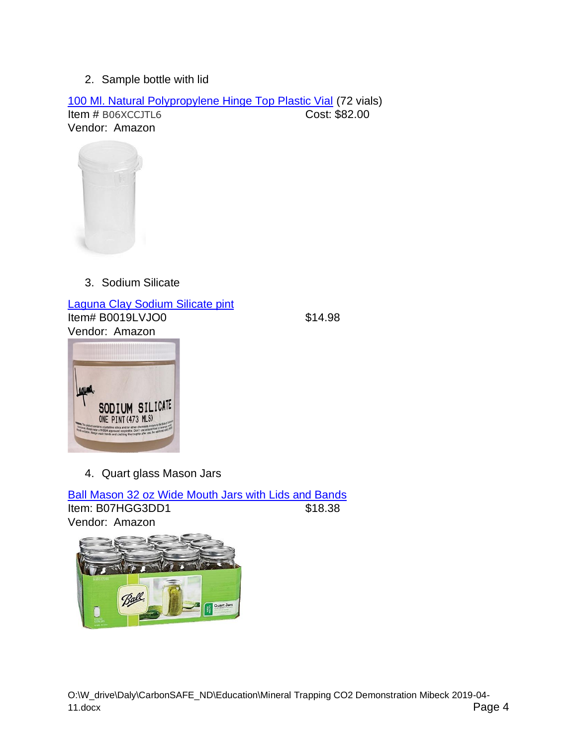2. Sample bottle with lid

[100 Ml. Natural Polypropylene Hinge Top Plastic Vial](https://www.amazon.com/Natural-Polypropylene-Plastic-Containers-Evident/dp/B06XCCJTL6) (72 vials) **Item # B06XCCJTL6** Cost: \$82.00 Vendor: Amazon



3. Sodium Silicate

[Laguna Clay Sodium Silicate pint](https://www.amazon.com/gp/product/B0019LVJO0/ref=ppx_yo_dt_b_asin_title_o05_s00?ie=UTF8&psc=1) Item# B0019LVJO0 \$14.98 Vendor: Amazon



4. Quart glass Mason Jars

[Ball Mason 32 oz Wide Mouth Jars with Lids and Bands](https://www.amazon.com/Ball-Mason-Mouth-Bands-Jars/dp/B07HGG3DD1/ref=sr_1_4?crid=2CQYSOVZYTCU7&keywords=quart+mason+jars&qid=1580320345&s=home-garden&sprefix=quart%2Cgarden%2C167&sr=1-4) Item: B07HGG3DD1 \$18.38 Vendor: Amazon

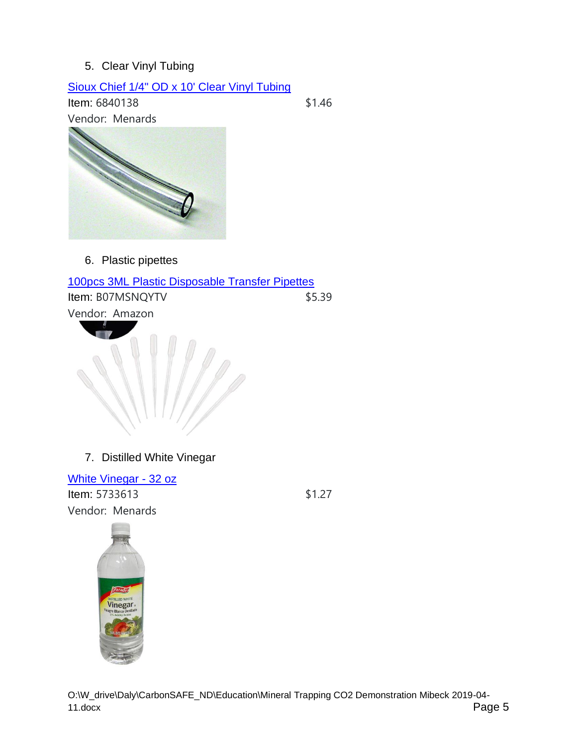# 5. Clear Vinyl Tubing

#### [Sioux Chief 1/4" OD x 10' Clear Vinyl Tubing](https://www.menards.com/main/plumbing/rough-plumbing/pipe-tubing-hoses-fittings-accessories/hoses-tubing/vinyl-tubing/sioux-chief-1-4-od-x-10-clear-vinyl-tubing/42143210/p-1444442673644.htm)

**Item:** 6840138 \$1.46



6. Plastic pipettes

[100pcs 3ML Plastic Disposable Transfer Pipettes](https://www.amazon.com/Disposable-Graduated-Calibrated-Essential-Laboratory/dp/B07MSNQYTV/ref=sr_1_6?crid=292IQ72Z3WP1U&keywords=plastic+droppers+pipettes&qid=1580327024&s=industrial&sprefix=plastic+drop%2Cindustrial%2C172&sr=1-6) Item: B07MSNQYTV \$5.39 Vendor: Amazon



7. Distilled White Vinegar

[White Vinegar -](https://www.menards.com/main/grocery-home/grocery/baking-cooking-essentials/parade-reg-white-vinegar/703609/p-1444443167408-c-6621.htm) 32 oz **Item:** 5733613 \$1.27 Vendor: Menards

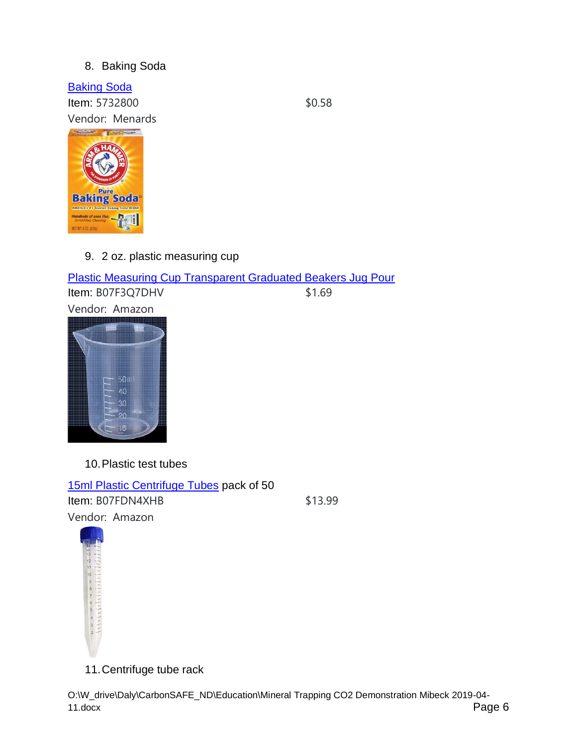#### 8. Baking Soda

[Baking Soda](https://www.menards.com/main/grocery-housewares-pet/baking-cooking-essentials/arm-hammer-trade-baking-soda/1130/p-1444426572275-c-6621.htm) **Item:** 5732800 \$0.58 Vendor: Menards



9. 2 oz. plastic measuring cup

# [Plastic Measuring Cup Transparent Graduated Beakers Jug Pour](https://www.amazon.com/Plastic-Measuring-Transparent-Graduated-Beakers/dp/B07F3Q7DHV/ref=sr_1_2?keywords=50ml+plastic+measuring+cups+with+pour+spout&qid=1580325228&s=home-garden&sr=1-2)

**Item: B07F3Q7DHV \$1.69** 

Vendor: Amazon



10.Plastic test tubes

[15ml Plastic Centrifuge Tubes](https://www.amazon.com/Centrifuge-Membrane-Solutions-Lab-Supply/dp/B07FDN4XHB/ref=sr_1_2?keywords=plastic+test+tubes+15ml&qid=1580328762&s=industrial&sr=1-2) pack of 50 Item: B07FDN4XHB \$13.99 Vendor: Amazon



11.Centrifuge tube rack

O:\W\_drive\Daly\CarbonSAFE\_ND\Education\Mineral Trapping CO2 Demonstration Mibeck 2019-04- 11.docx Page 6